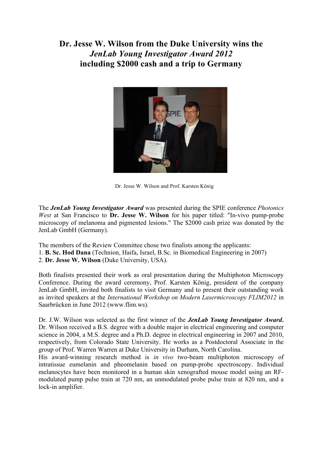**Dr. Jesse W. Wilson from the Duke University wins the**  *JenLab Young Investigator Award 2012*  **including \$2000 cash and a trip to Germany**



Dr. Jesse W. Wilson and Prof. Karsten König

The *JenLab Young Investigator Award* was presented during the SPIE conference *Photonics West* at San Francisco to **Dr. Jesse W. Wilson** for his paper titled: "In-vivo pump-probe microscopy of melanoma and pigmented lesions." The \$2000 cash prize was donated by the JenLab GmbH (Germany).

The members of the Review Committee chose two finalists among the applicants: 1. **B. Sc. Hod Dana** (Technion, Haifa, Israel, B.Sc. in Biomedical Engineering in 2007) 2. **Dr. Jesse W. Wilson** (Duke University, USA).

Both finalists presented their work as oral presentation during the Multiphoton Microscopy Conference. During the award ceremony, Prof. Karsten König, president of the company JenLab GmbH, invited both finalists to visit Germany and to present their outstanding work as invited speakers at the *International Workshop on Modern Lasermicroscopy FLIM2012* in Saarbrücken in June 2012 (www.flim.ws).

Dr. J.W. Wilson was selected as the first winner of the *JenLab Young Investigator Award***.**  Dr. Wilson received a B.S. degree with a double major in electrical engineering and computer science in 2004, a M.S. degree and a Ph.D. degree in electrical engineering in 2007 and 2010, respectively, from Colorado State University. He works as a Postdoctoral Associate in the group of Prof. Warren Warren at Duke University in Durham, North Carolina.

His award-winning research method is *in vivo* two-beam multiphoton microscopy of intratissue eumelanin and pheomelanin based on pump-probe spectroscopy. Individual melanocytes have been monitored in a human skin xenografted mouse model using an RFmodulated pump pulse train at 720 nm, an unmodulated probe pulse train at 820 nm, and a lock-in amplifier.